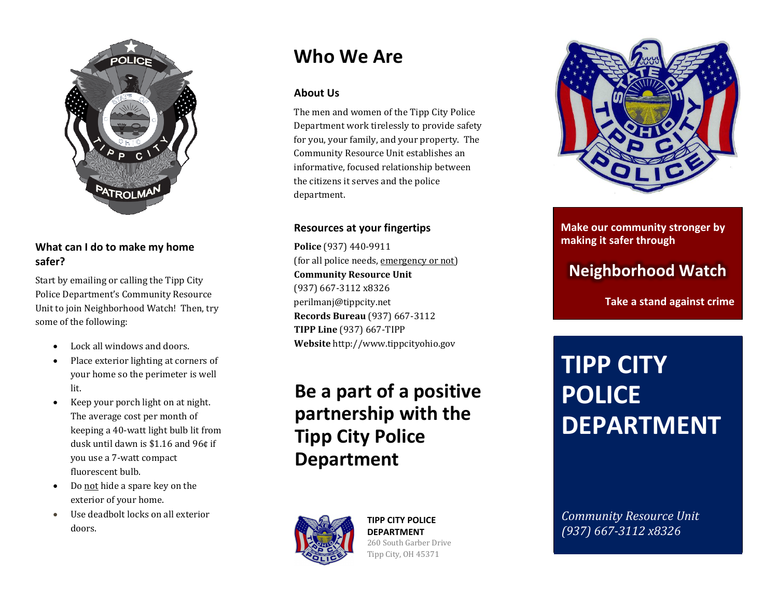

## **What can I do to make my home safer?**

Start by emailing or calling the Tipp City Police Department's Community Resource Unit to join Neighborhood Watch! Then, try some of the following:

- Lock all windows and doors.
- Place exterior lighting at corners of your home so the perimeter is well lit.
- Keep your porch light on at night. The average cost per month of keeping a 40-watt light bulb lit from dusk until dawn is \$1.16 and 96¢ if you use a 7-watt compact fluorescent bulb.
- Do not hide a spare key on the exterior of your home.
- Use deadbolt locks on all exterior doors.

# **Who We Are**

## **About Us**

The men and women of the Tipp City Police Department work tirelessly to provide safety for you, your family, and your property. The Community Resource Unit establishes an informative, focused relationship between the citizens it serves and the police department.

## **Resources at your fingertips**

**Police** (937) 440-9911 (for all police needs, emergency or not) **Community Resource Unit** (937) 667-3112 x8326 perilmanj@tippcity.net **Records Bureau** (937) 667-3112 **TIPP Line** (937) 667-TIPP **Website** http://www.tippcityohio.gov

# **Be a part of a positive partnership with the Tipp City Police Department**



#### **TIPP CITY POLICE DEPARTMENT** 260 South Garber Drive Tipp City, OH 45371



## **Make our community stronger by making it safer through**

## **Neighborhood Watch**

**Take a stand against crime**

# **TIPP CITY POLICE DEPARTMENT**

*(937) 667-3112 x8326 Community Resource Unit (937) 667-3112 x8326*